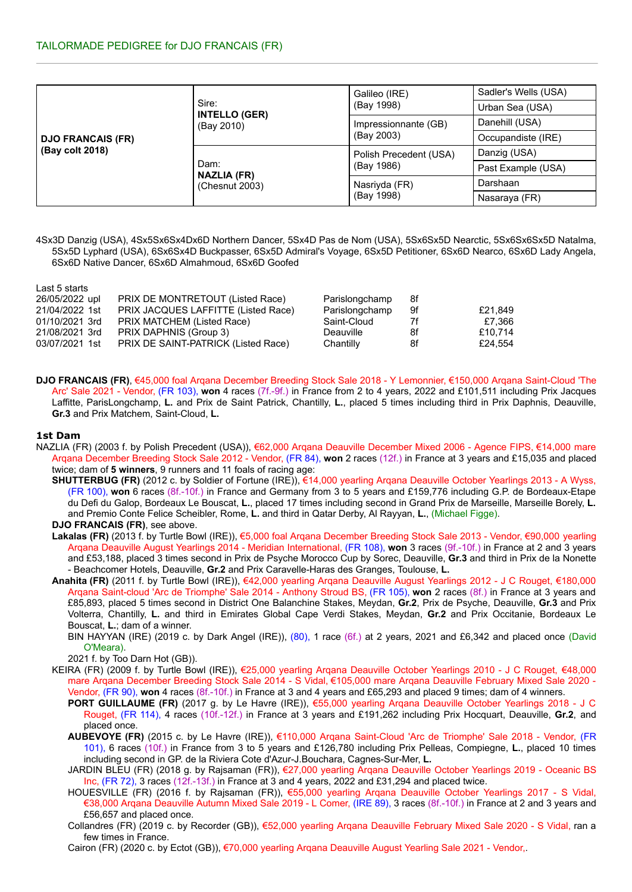| <b>DJO FRANCAIS (FR)</b><br>(Bay colt 2018) | Sire:<br><b>INTELLO (GER)</b><br>(Bay 2010)  | Galileo (IRE)          | Sadler's Wells (USA) |  |
|---------------------------------------------|----------------------------------------------|------------------------|----------------------|--|
|                                             |                                              | (Bay 1998)             | Urban Sea (USA)      |  |
|                                             |                                              | Impressionnante (GB)   | Danehill (USA)       |  |
|                                             |                                              | (Bay 2003)             | Occupandiste (IRE)   |  |
|                                             | Dam:<br><b>NAZLIA (FR)</b><br>(Chesnut 2003) | Polish Precedent (USA) | Danzig (USA)         |  |
|                                             |                                              | (Bay 1986)             | Past Example (USA)   |  |
|                                             |                                              | Nasriyda (FR)          | Darshaan             |  |
|                                             |                                              | (Bay 1998)             | Nasaraya (FR)        |  |

4Sx3D Danzig (USA), 4Sx5Sx6Sx4Dx6D Northern Dancer, 5Sx4D Pas de Nom (USA), 5Sx6Sx5D Nearctic, 5Sx6Sx6Sx5D Natalma, 5Sx5D Lyphard (USA), 6Sx6Sx4D Buckpasser, 6Sx5D Admiral's Voyage, 6Sx5D Petitioner, 6Sx6D Nearco, 6Sx6D Lady Angela, 6Sx6D Native Dancer, 6Sx6D Almahmoud, 6Sx6D Goofed

| Last 5 starts  |                                     |                |    |         |
|----------------|-------------------------------------|----------------|----|---------|
| 26/05/2022 upl | PRIX DE MONTRETOUT (Listed Race)    | Parislongchamp | 8f |         |
| 21/04/2022 1st | PRIX JACQUES LAFFITTE (Listed Race) | Parislongchamp | 9f | £21.849 |
| 01/10/2021 3rd | PRIX MATCHEM (Listed Race)          | Saint-Cloud    | 7f | £7.366  |
| 21/08/2021 3rd | PRIX DAPHNIS (Group 3)              | Deauville      | 8f | £10.714 |
| 03/07/2021 1st | PRIX DE SAINT-PATRICK (Listed Race) | Chantilly      | 8f | £24.554 |

**DJO FRANCAIS (FR)**, €45,000 foal Arqana December Breeding Stock Sale 2018 - Y Lemonnier, €150,000 Arqana Saint-Cloud 'The Arc' Sale 2021 - Vendor, (FR 103), **won** 4 races (7f.-9f.) in France from 2 to 4 years, 2022 and £101,511 including Prix Jacques Laffitte, ParisLongchamp, **L.** and Prix de Saint Patrick, Chantilly, **L.**, placed 5 times including third in Prix Daphnis, Deauville, **Gr.3** and Prix Matchem, Saint-Cloud, **L.**

# **1st Dam**

- NAZLIA (FR) (2003 f. by Polish Precedent (USA)), €62,000 Arqana Deauville December Mixed 2006 Agence FIPS, €14,000 mare Arqana December Breeding Stock Sale 2012 - Vendor, (FR 84), **won** 2 races (12f.) in France at 3 years and £15,035 and placed twice; dam of **5 winners**, 9 runners and 11 foals of racing age:
	- **SHUTTERBUG (FR)** (2012 c. by Soldier of Fortune (IRE)), €14,000 yearling Arqana Deauville October Yearlings 2013 A Wyss, (FR 100), **won** 6 races (8f.-10f.) in France and Germany from 3 to 5 years and £159,776 including G.P. de Bordeaux-Etape du Defi du Galop, Bordeaux Le Bouscat, **L.**, placed 17 times including second in Grand Prix de Marseille, Marseille Borely, **L.** and Premio Conte Felice Scheibler, Rome, **L.** and third in Qatar Derby, Al Rayyan, **L.**, (Michael Figge). **DJO FRANCAIS (FR)**, see above.
	- **Lakalas (FR)** (2013 f. by Turtle Bowl (IRE)), €5,000 foal Arqana December Breeding Stock Sale 2013 Vendor, €90,000 yearling Arqana Deauville August Yearlings 2014 - Meridian International, (FR 108), **won** 3 races (9f.-10f.) in France at 2 and 3 years and £53,188, placed 3 times second in Prix de Psyche Morocco Cup by Sorec, Deauville, **Gr.3** and third in Prix de la Nonette - Beachcomer Hotels, Deauville, **Gr.2** and Prix Caravelle-Haras des Granges, Toulouse, **L.**
	- **Anahita (FR)** (2011 f. by Turtle Bowl (IRE)), €42,000 yearling Arqana Deauville August Yearlings 2012 J C Rouget, €180,000 Arqana Saint-cloud 'Arc de Triomphe' Sale 2014 - Anthony Stroud BS, (FR 105), **won** 2 races (8f.) in France at 3 years and £85,893, placed 5 times second in District One Balanchine Stakes, Meydan, **Gr.2**, Prix de Psyche, Deauville, **Gr.3** and Prix Volterra, Chantilly, **L.** and third in Emirates Global Cape Verdi Stakes, Meydan, **Gr.2** and Prix Occitanie, Bordeaux Le Bouscat, **L.**; dam of a winner.
		- BIN HAYYAN (IRE) (2019 c. by Dark Angel (IRE)), (80), 1 race (6f.) at 2 years, 2021 and £6,342 and placed once (David O'Meara).

2021 f. by Too Darn Hot (GB)).

- KEIRA (FR) (2009 f. by Turtle Bowl (IRE)), €25,000 yearling Arqana Deauville October Yearlings 2010 J C Rouget, €48,000 mare Arqana December Breeding Stock Sale 2014 - S Vidal, €105,000 mare Arqana Deauville February Mixed Sale 2020 - Vendor, (FR 90), **won** 4 races (8f.-10f.) in France at 3 and 4 years and £65,293 and placed 9 times; dam of 4 winners.
	- PORT GUILLAUME (FR) (2017 g. by Le Havre (IRE)), €55,000 yearling Arqana Deauville October Yearlings 2018 J C Rouget, (FR 114), 4 races (10f.-12f.) in France at 3 years and £191,262 including Prix Hocquart, Deauville, **Gr.2**, and placed once.
	- **AUBEVOYE (FR)** (2015 c. by Le Havre (IRE)), €110,000 Arqana Saint-Cloud 'Arc de Triomphe' Sale 2018 Vendor, (FR 101), 6 races (10f.) in France from 3 to 5 years and £126,780 including Prix Pelleas, Compiegne, **L.**, placed 10 times including second in GP. de la Riviera Cote d'Azur-J.Bouchara, Cagnes-Sur-Mer, **L.**
	- JARDIN BLEU (FR) (2018 g. by Rajsaman (FR)), €27,000 yearling Arqana Deauville October Yearlings 2019 Oceanic BS Inc, (FR 72), 3 races (12f.-13f.) in France at 3 and 4 years, 2022 and £31,294 and placed twice.
	- HOUESVILLE (FR) (2016 f. by Rajsaman (FR)), €55,000 yearling Arqana Deauville October Yearlings 2017 S Vidal, €38,000 Arqana Deauville Autumn Mixed Sale 2019 - L Comer, (IRE 89), 3 races (8f.-10f.) in France at 2 and 3 years and £56,657 and placed once.
	- Collandres (FR) (2019 c. by Recorder (GB)), €52,000 yearling Arqana Deauville February Mixed Sale 2020 S Vidal, ran a few times in France.

Cairon (FR) (2020 c. by Ectot (GB)), €70,000 yearling Arqana Deauville August Yearling Sale 2021 - Vendor,.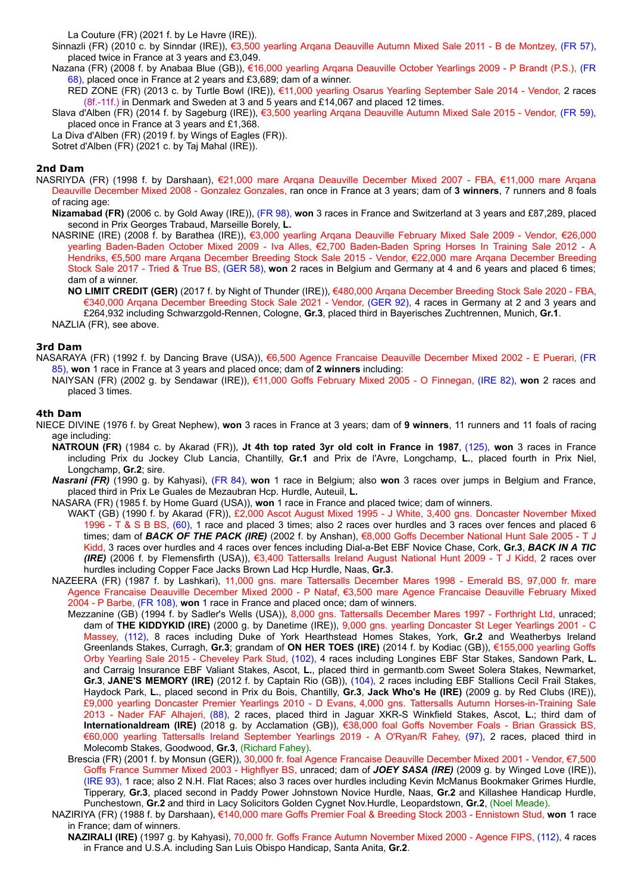La Couture (FR) (2021 f. by Le Havre (IRE)).

Sinnazli (FR) (2010 c. by Sinndar (IRE)), €3,500 yearling Arqana Deauville Autumn Mixed Sale 2011 - B de Montzey, (FR 57), placed twice in France at 3 years and £3,049.

Nazana (FR) (2008 f. by Anabaa Blue (GB)), €16,000 yearling Argana Deauville October Yearlings 2009 - P Brandt (P.S.), (FR 68), placed once in France at 2 years and £3,689; dam of a winner.

RED ZONE (FR) (2013 c. by Turtle Bowl (IRE)), €11,000 yearling Osarus Yearling September Sale 2014 - Vendor, 2 races (8f.-11f.) in Denmark and Sweden at 3 and 5 years and £14,067 and placed 12 times.

Slava d'Alben (FR) (2014 f. by Sageburg (IRE)), €3,500 yearling Arqana Deauville Autumn Mixed Sale 2015 - Vendor, (FR 59), placed once in France at 3 years and £1,368.

La Diva d'Alben (FR) (2019 f. by Wings of Eagles (FR)).

Sotret d'Alben (FR) (2021 c. by Taj Mahal (IRE)).

# **2nd Dam**

NASRIYDA (FR) (1998 f. by Darshaan), €21,000 mare Arqana Deauville December Mixed 2007 - FBA, €11,000 mare Arqana Deauville December Mixed 2008 - Gonzalez Gonzales, ran once in France at 3 years; dam of **3 winners**, 7 runners and 8 foals of racing age:

**Nizamabad (FR)** (2006 c. by Gold Away (IRE)), (FR 98), **won** 3 races in France and Switzerland at 3 years and £87,289, placed second in Prix Georges Trabaud, Marseille Borely, **L.**

NASRINE (IRE) (2008 f. by Barathea (IRE)), €3,000 yearling Arqana Deauville February Mixed Sale 2009 - Vendor, €26,000 yearling Baden-Baden October Mixed 2009 - Iva Alles, €2,700 Baden-Baden Spring Horses In Training Sale 2012 - A Hendriks, €5,500 mare Arqana December Breeding Stock Sale 2015 - Vendor, €22,000 mare Arqana December Breeding Stock Sale 2017 - Tried & True BS, (GER 58), **won** 2 races in Belgium and Germany at 4 and 6 years and placed 6 times; dam of a winner.

**NO LIMIT CREDIT (GER)** (2017 f. by Night of Thunder (IRE)), €480,000 Arqana December Breeding Stock Sale 2020 - FBA, €340,000 Arqana December Breeding Stock Sale 2021 - Vendor, (GER 92), 4 races in Germany at 2 and 3 years and £264,932 including Schwarzgold-Rennen, Cologne, **Gr.3**, placed third in Bayerisches Zuchtrennen, Munich, **Gr.1**.

NAZLIA (FR), see above.

### **3rd Dam**

NASARAYA (FR) (1992 f. by Dancing Brave (USA)), €6,500 Agence Francaise Deauville December Mixed 2002 - E Puerari, (FR 85), **won** 1 race in France at 3 years and placed once; dam of **2 winners** including:

NAIYSAN (FR) (2002 g. by Sendawar (IRE)), €11,000 Goffs February Mixed 2005 - O Finnegan, (IRE 82), **won** 2 races and placed 3 times.

## **4th Dam**

- NIECE DIVINE (1976 f. by Great Nephew), **won** 3 races in France at 3 years; dam of **9 winners**, 11 runners and 11 foals of racing age including:
	- **NATROUN (FR)** (1984 c. by Akarad (FR)), **Jt 4th top rated 3yr old colt in France in 1987**, (125), **won** 3 races in France including Prix du Jockey Club Lancia, Chantilly, **Gr.1** and Prix de l'Avre, Longchamp, **L.**, placed fourth in Prix Niel, Longchamp, **Gr.2**; sire.
	- *Nasrani (FR)* (1990 g. by Kahyasi), (FR 84), **won** 1 race in Belgium; also **won** 3 races over jumps in Belgium and France, placed third in Prix Le Guales de Mezaubran Hcp. Hurdle, Auteuil, **L.**

NASARA (FR) (1985 f. by Home Guard (USA)), **won** 1 race in France and placed twice; dam of winners.

- WAKT (GB) (1990 f. by Akarad (FR)), £2,000 Ascot August Mixed 1995 J White, 3,400 gns. Doncaster November Mixed 1996 - T & S B BS, (60), 1 race and placed 3 times; also 2 races over hurdles and 3 races over fences and placed 6 times; dam of *BACK OF THE PACK (IRE)* (2002 f. by Anshan), €8,000 Goffs December National Hunt Sale 2005 - T J Kidd, 3 races over hurdles and 4 races over fences including Dial-a-Bet EBF Novice Chase, Cork, **Gr.3**, *BACK IN A TIC (IRE)* (2006 f. by Flemensfirth (USA)), €3,400 Tattersalls Ireland August National Hunt 2009 - T J Kidd, 2 races over hurdles including Copper Face Jacks Brown Lad Hcp Hurdle, Naas, **Gr.3**.
- NAZEERA (FR) (1987 f. by Lashkari), 11,000 gns. mare Tattersalls December Mares 1998 Emerald BS, 97,000 fr. mare Agence Francaise Deauville December Mixed 2000 - P Nataf, €3,500 mare Agence Francaise Deauville February Mixed 2004 - P Barbe, (FR 108), **won** 1 race in France and placed once; dam of winners.
	- Mezzanine (GB) (1994 f. by Sadler's Wells (USA)), 8,000 gns. Tattersalls December Mares 1997 Forthright Ltd, unraced; dam of **THE KIDDYKID (IRE)** (2000 g. by Danetime (IRE)), 9,000 gns. yearling Doncaster St Leger Yearlings 2001 - C Massey, (112), 8 races including Duke of York Hearthstead Homes Stakes, York, **Gr.2** and Weatherbys Ireland Greenlands Stakes, Curragh, **Gr.3**; grandam of **ON HER TOES (IRE)** (2014 f. by Kodiac (GB)), €155,000 yearling Goffs Orby Yearling Sale 2015 - Cheveley Park Stud, (102), 4 races including Longines EBF Star Stakes, Sandown Park, **L.** and Carraig Insurance EBF Valiant Stakes, Ascot, **L.**, placed third in germantb.com Sweet Solera Stakes, Newmarket, **Gr.3**, **JANE'S MEMORY (IRE)** (2012 f. by Captain Rio (GB)), (104), 2 races including EBF Stallions Cecil Frail Stakes, Haydock Park, **L.**, placed second in Prix du Bois, Chantilly, **Gr.3**, **Jack Who's He (IRE)** (2009 g. by Red Clubs (IRE)), £9,000 yearling Doncaster Premier Yearlings 2010 - D Evans, 4,000 gns. Tattersalls Autumn Horses-in-Training Sale 2013 - Nader FAF Alhajeri, (88), 2 races, placed third in Jaguar XKR-S Winkfield Stakes, Ascot, **L.**; third dam of **Internationaldream (IRE)** (2018 g. by Acclamation (GB)), €38,000 foal Goffs November Foals - Brian Grassick BS, €60,000 yearling Tattersalls Ireland September Yearlings 2019 - A O'Ryan/R Fahey, (97), 2 races, placed third in Molecomb Stakes, Goodwood, **Gr.3**, (Richard Fahey).
	- Brescia (FR) (2001 f. by Monsun (GER)), 30,000 fr. foal Agence Francaise Deauville December Mixed 2001 Vendor, €7,500 Goffs France Summer Mixed 2003 - Highflyer BS, unraced; dam of *JOEY SASA (IRE)* (2009 g. by Winged Love (IRE)), (IRE 93), 1 race; also 2 N.H. Flat Races; also 3 races over hurdles including Kevin McManus Bookmaker Grimes Hurdle, Tipperary, **Gr.3**, placed second in Paddy Power Johnstown Novice Hurdle, Naas, **Gr.2** and Killashee Handicap Hurdle, Punchestown, **Gr.2** and third in Lacy Solicitors Golden Cygnet Nov.Hurdle, Leopardstown, **Gr.2**, (Noel Meade).

NAZIRIYA (FR) (1988 f. by Darshaan), €140,000 mare Goffs Premier Foal & Breeding Stock 2003 - Ennistown Stud, **won** 1 race in France; dam of winners.

**NAZIRALI (IRE)** (1997 g. by Kahyasi), 70,000 fr. Goffs France Autumn November Mixed 2000 - Agence FIPS, (112), 4 races in France and U.S.A. including San Luis Obispo Handicap, Santa Anita, **Gr.2**.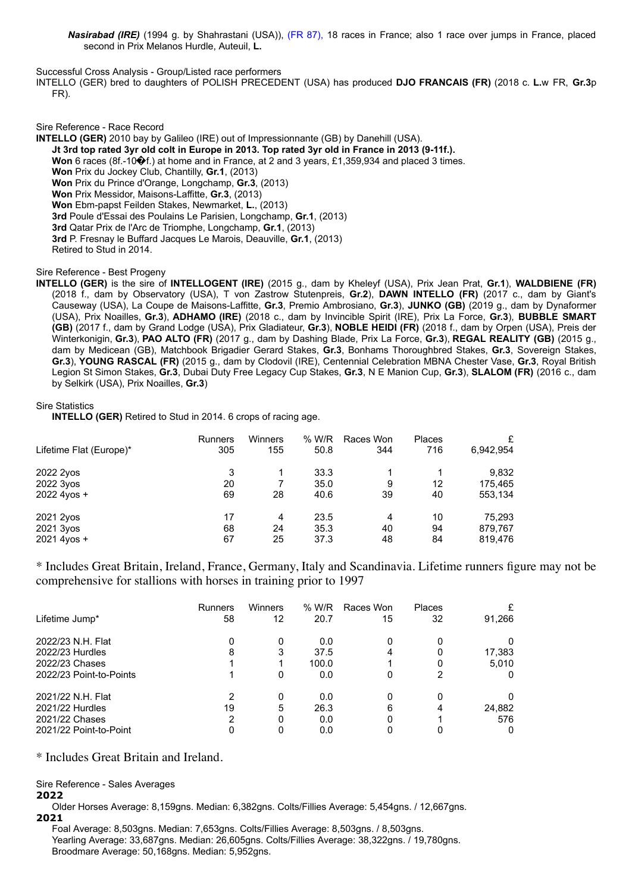*Nasirabad (IRE)* (1994 g. by Shahrastani (USA)), (FR 87), 18 races in France; also 1 race over jumps in France, placed second in Prix Melanos Hurdle, Auteuil, **L.**

Successful Cross Analysis - Group/Listed race performers

INTELLO (GER) bred to daughters of POLISH PRECEDENT (USA) has produced **DJO FRANCAIS (FR)** (2018 c. **L.**w FR, **Gr.3**p FR).

Sire Reference - Race Record

**INTELLO (GER)** 2010 bay by Galileo (IRE) out of Impressionnante (GB) by Danehill (USA). **Jt 3rd top rated 3yr old colt in Europe in 2013. Top rated 3yr old in France in 2013 (9-11f.). Won** 6 races (8f.-10�f.) at home and in France, at 2 and 3 years, £1,359,934 and placed 3 times. **Won** Prix du Jockey Club, Chantilly, **Gr.1**, (2013) **Won** Prix du Prince d'Orange, Longchamp, **Gr.3**, (2013) **Won** Prix Messidor, Maisons-Laffitte, **Gr.3**, (2013) **Won** Ebm-papst Feilden Stakes, Newmarket, **L.**, (2013) **3rd** Poule d'Essai des Poulains Le Parisien, Longchamp, **Gr.1**, (2013) **3rd** Qatar Prix de l'Arc de Triomphe, Longchamp, **Gr.1**, (2013) **3rd** P. Fresnay le Buffard Jacques Le Marois, Deauville, **Gr.1**, (2013) Retired to Stud in 2014.

### Sire Reference - Best Progeny

**INTELLO (GER)** is the sire of **INTELLOGENT (IRE)** (2015 g., dam by Kheleyf (USA), Prix Jean Prat, **Gr.1**), **WALDBIENE (FR)** (2018 f., dam by Observatory (USA), T von Zastrow Stutenpreis, **Gr.2**), **DAWN INTELLO (FR)** (2017 c., dam by Giant's Causeway (USA), La Coupe de Maisons-Laffitte, **Gr.3**, Premio Ambrosiano, **Gr.3**), **JUNKO (GB)** (2019 g., dam by Dynaformer (USA), Prix Noailles, **Gr.3**), **ADHAMO (IRE)** (2018 c., dam by Invincible Spirit (IRE), Prix La Force, **Gr.3**), **BUBBLE SMART (GB)** (2017 f., dam by Grand Lodge (USA), Prix Gladiateur, **Gr.3**), **NOBLE HEIDI (FR)** (2018 f., dam by Orpen (USA), Preis der Winterkonigin, **Gr.3**), **PAO ALTO (FR)** (2017 g., dam by Dashing Blade, Prix La Force, **Gr.3**), **REGAL REALITY (GB)** (2015 g., dam by Medicean (GB), Matchbook Brigadier Gerard Stakes, **Gr.3**, Bonhams Thoroughbred Stakes, **Gr.3**, Sovereign Stakes, **Gr.3**), **YOUNG RASCAL (FR)** (2015 g., dam by Clodovil (IRE), Centennial Celebration MBNA Chester Vase, **Gr.3**, Royal British Legion St Simon Stakes, **Gr.3**, Dubai Duty Free Legacy Cup Stakes, **Gr.3**, N E Manion Cup, **Gr.3**), **SLALOM (FR)** (2016 c., dam by Selkirk (USA), Prix Noailles, **Gr.3**)

### Sire Statistics

**INTELLO (GER)** Retired to Stud in 2014. 6 crops of racing age.

| Lifetime Flat (Europe)*               | <b>Runners</b> | Winners | % W/R                | Races Won | Places   | £                           |
|---------------------------------------|----------------|---------|----------------------|-----------|----------|-----------------------------|
|                                       | 305            | 155     | 50.8                 | 344       | 716      | 6.942.954                   |
| 2022 2yos<br>2022 3yos<br>2022 4yos + | 3<br>20<br>69  | 28      | 33.3<br>35.0<br>40.6 | 9<br>39   | 12<br>40 | 9,832<br>175,465<br>553,134 |
| 2021 2yos                             | 17             | 4       | 23.5                 | 4         | 10       | 75.293                      |
| 2021 3yos                             | 68             | 24      | 35.3                 | 40        | 94       | 879,767                     |
| $2021$ 4yos +                         | 67             | 25      | 37.3                 | 48        | 84       | 819,476                     |

\* Includes Great Britain, Ireland, France, Germany, Italy and Scandinavia. Lifetime runners figure may not be comprehensive for stallions with horses in training prior to 1997

| Lifetime Jump*          | <b>Runners</b><br>58 | <b>Winners</b><br>12 | % W/R<br>20.7 | Races Won<br>15 | Places<br>32 | 91,266   |
|-------------------------|----------------------|----------------------|---------------|-----------------|--------------|----------|
| 2022/23 N.H. Flat       | 0                    | 0                    | 0.0           | 0               | 0            | 0        |
| 2022/23 Hurdles         | 8                    | 3                    | 37.5          |                 | 0            | 17,383   |
| 2022/23 Chases          |                      |                      | 100.0         |                 | 0            | 5,010    |
| 2022/23 Point-to-Points |                      | 0                    | 0.0           |                 |              | 0        |
| 2021/22 N.H. Flat       | 2                    | 0                    | 0.0           |                 | 0            | $\Omega$ |
| 2021/22 Hurdles         | 19                   | 5                    | 26.3          | 6               |              | 24,882   |
| 2021/22 Chases          | 2                    | 0                    | 0.0           | 0               |              | 576      |
| 2021/22 Point-to-Point  | 0                    | 0                    | 0.0           |                 |              | 0        |

\* Includes Great Britain and Ireland.

Sire Reference - Sales Averages

## **2022**

Older Horses Average: 8,159gns. Median: 6,382gns. Colts/Fillies Average: 5,454gns. / 12,667gns. **2021**

Foal Average: 8,503gns. Median: 7,653gns. Colts/Fillies Average: 8,503gns. / 8,503gns. Yearling Average: 33,687gns. Median: 26,605gns. Colts/Fillies Average: 38,322gns. / 19,780gns. Broodmare Average: 50,168gns. Median: 5,952gns.